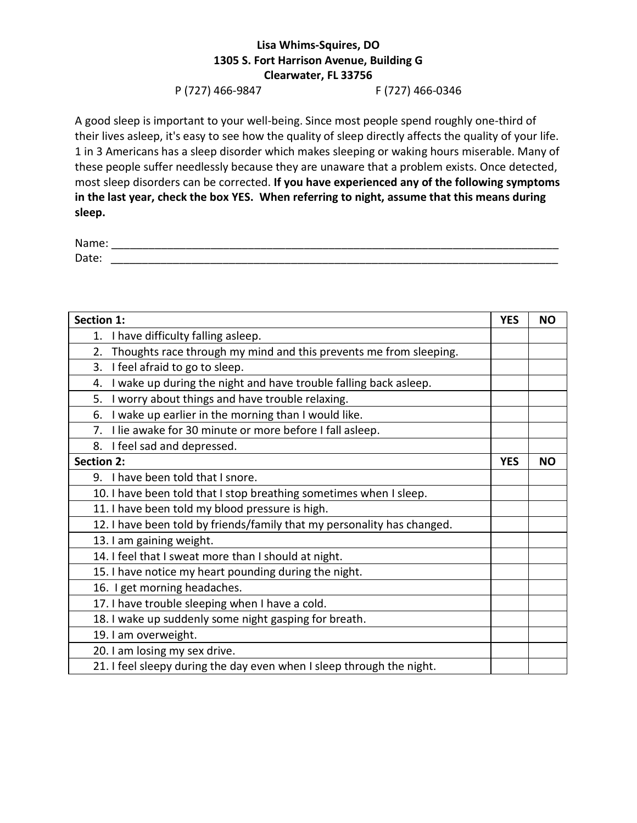## **Lisa Whims-Squires, DO 1305 S. Fort Harrison Avenue, Building G Clearwater, FL 33756**

## P (727) 466-9847 F (727) 466-0346

A good sleep is important to your well-being. Since most people spend roughly one-third of their lives asleep, it's easy to see how the quality of sleep directly affects the quality of your life. 1 in 3 Americans has a sleep disorder which makes sleeping or waking hours miserable. Many of these people suffer needlessly because they are unaware that a problem exists. Once detected, most sleep disorders can be corrected. **If you have experienced any of the following symptoms in the last year, check the box YES. When referring to night, assume that this means during sleep.**

| Name: |  |  |
|-------|--|--|
| Date: |  |  |

| Section 1:                                                              |  | <b>NO</b> |
|-------------------------------------------------------------------------|--|-----------|
| I have difficulty falling asleep.<br>1.                                 |  |           |
| Thoughts race through my mind and this prevents me from sleeping.<br>2. |  |           |
| I feel afraid to go to sleep.<br>3.                                     |  |           |
| I wake up during the night and have trouble falling back asleep.<br>4.  |  |           |
| I worry about things and have trouble relaxing.<br>5.                   |  |           |
| I wake up earlier in the morning than I would like.<br>6.               |  |           |
| I lie awake for 30 minute or more before I fall asleep.<br>7.           |  |           |
| 8. I feel sad and depressed.                                            |  |           |
| <b>Section 2:</b>                                                       |  | <b>NO</b> |
| 9. I have been told that I snore.                                       |  |           |
| 10. I have been told that I stop breathing sometimes when I sleep.      |  |           |
| 11. I have been told my blood pressure is high.                         |  |           |
| 12. I have been told by friends/family that my personality has changed. |  |           |
| 13. I am gaining weight.                                                |  |           |
| 14. I feel that I sweat more than I should at night.                    |  |           |
| 15. I have notice my heart pounding during the night.                   |  |           |
| 16. I get morning headaches.                                            |  |           |
| 17. I have trouble sleeping when I have a cold.                         |  |           |
| 18. I wake up suddenly some night gasping for breath.                   |  |           |
| 19. I am overweight.                                                    |  |           |
| 20. I am losing my sex drive.                                           |  |           |
| 21. I feel sleepy during the day even when I sleep through the night.   |  |           |